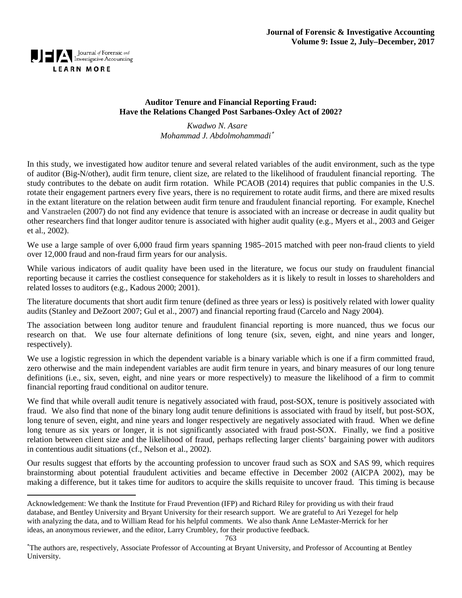

l

### **Auditor Tenure and Financial Reporting Fraud: Have the Relations Changed Post Sarbanes-Oxley Act of 2002?**

*Kwadwo N. Asare Mohammad J. Abdolmohammadi*[∗](#page-0-0)

In this study, we investigated how auditor tenure and several related variables of the audit environment, such as the type of auditor (Big-N/other), audit firm tenure, client size, are related to the likelihood of fraudulent financial reporting. The study contributes to the debate on audit firm rotation. While PCAOB (2014) requires that public companies in the U.S. rotate their engagement partners every five years, there is no requirement to rotate audit firms, and there are mixed results in the extant literature on the relation between audit firm tenure and fraudulent financial reporting. For example, Knechel and Vanstraelen (2007) do not find any evidence that tenure is associated with an increase or decrease in audit quality but other researchers find that longer auditor tenure is associated with higher audit quality (e.g., Myers et al., 2003 and Geiger et al., 2002).

We use a large sample of over 6,000 fraud firm years spanning 1985–2015 matched with peer non-fraud clients to yield over 12,000 fraud and non-fraud firm years for our analysis.

While various indicators of audit quality have been used in the literature, we focus our study on fraudulent financial reporting because it carries the costliest consequence for stakeholders as it is likely to result in losses to shareholders and related losses to auditors (e.g., Kadous 2000; 2001).

The literature documents that short audit firm tenure (defined as three years or less) is positively related with lower quality audits (Stanley and DeZoort 2007; Gul et al., 2007) and financial reporting fraud (Carcelo and Nagy 2004).

The association between long auditor tenure and fraudulent financial reporting is more nuanced, thus we focus our research on that. We use four alternate definitions of long tenure (six, seven, eight, and nine years and longer, respectively).

We use a logistic regression in which the dependent variable is a binary variable which is one if a firm committed fraud, zero otherwise and the main independent variables are audit firm tenure in years, and binary measures of our long tenure definitions (i.e., six, seven, eight, and nine years or more respectively) to measure the likelihood of a firm to commit financial reporting fraud conditional on auditor tenure.

We find that while overall audit tenure is negatively associated with fraud, post-SOX, tenure is positively associated with fraud. We also find that none of the binary long audit tenure definitions is associated with fraud by itself, but post-SOX, long tenure of seven, eight, and nine years and longer respectively are negatively associated with fraud. When we define long tenure as six years or longer, it is not significantly associated with fraud post-SOX. Finally, we find a positive relation between client size and the likelihood of fraud, perhaps reflecting larger clients' bargaining power with auditors in contentious audit situations (cf., Nelson et al., 2002).

Our results suggest that efforts by the accounting profession to uncover fraud such as SOX and SAS 99, which requires brainstorming about potential fraudulent activities and became effective in December 2002 (AICPA 2002), may be making a difference, but it takes time for auditors to acquire the skills requisite to uncover fraud. This timing is because

<span id="page-0-0"></span>Acknowledgement: We thank the Institute for Fraud Prevention (IFP) and Richard Riley for providing us with their fraud database, and Bentley University and Bryant University for their research support. We are grateful to Ari Yezegel for help with analyzing the data, and to William Read for his helpful comments. We also thank Anne LeMaster-Merrick for her ideas, an anonymous reviewer, and the editor, Larry Crumbley, for their productive feedback.

<sup>∗</sup> The authors are, respectively, Associate Professor of Accounting at Bryant University, and Professor of Accounting at Bentley University.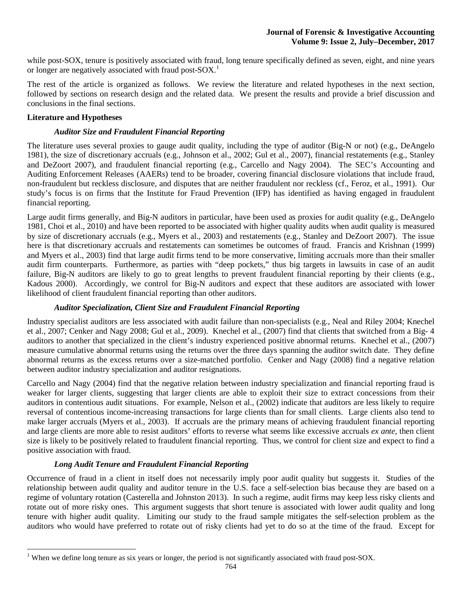while post-SOX, tenure is positively associated with fraud, long tenure specifically defined as seven, eight, and nine years or longer are negatively associated with fraud post-SOX.<sup>[1](#page-1-0)</sup>

The rest of the article is organized as follows. We review the literature and related hypotheses in the next section, followed by sections on research design and the related data. We present the results and provide a brief discussion and conclusions in the final sections.

#### **Literature and Hypotheses**

#### *Auditor Size and Fraudulent Financial Reporting*

The literature uses several proxies to gauge audit quality, including the type of auditor (Big-N or not) (e.g., DeAngelo 1981), the size of discretionary accruals (e.g., Johnson et al., 2002; Gul et al., 2007), financial restatements (e.g., Stanley and DeZoort 2007), and fraudulent financial reporting (e.g., Carcello and Nagy 2004). The SEC's Accounting and Auditing Enforcement Releases (AAERs) tend to be broader, covering financial disclosure violations that include fraud, non-fraudulent but reckless disclosure, and disputes that are neither fraudulent nor reckless (cf., Feroz, et al., 1991). Our study's focus is on firms that the Institute for Fraud Prevention (IFP) has identified as having engaged in fraudulent financial reporting.

Large audit firms generally, and Big-N auditors in particular, have been used as proxies for audit quality (e.g., DeAngelo 1981, Choi et al., 2010) and have been reported to be associated with higher quality audits when audit quality is measured by size of discretionary accruals (e.g., Myers et al., 2003) and restatements (e.g., Stanley and DeZoort 2007). The issue here is that discretionary accruals and restatements can sometimes be outcomes of fraud. Francis and Krishnan (1999) and Myers et al., 2003) find that large audit firms tend to be more conservative, limiting accruals more than their smaller audit firm counterparts. Furthermore, as parties with "deep pockets," thus big targets in lawsuits in case of an audit failure, Big-N auditors are likely to go to great lengths to prevent fraudulent financial reporting by their clients (e.g., Kadous 2000). Accordingly, we control for Big-N auditors and expect that these auditors are associated with lower likelihood of client fraudulent financial reporting than other auditors.

#### *Auditor Specialization, Client Size and Fraudulent Financial Reporting*

Industry specialist auditors are less associated with audit failure than non-specialists (e.g., Neal and Riley 2004; Knechel et al., 2007; Cenker and Nagy 2008; Gul et al., 2009). Knechel et al., (2007) find that clients that switched from a Big- 4 auditors to another that specialized in the client's industry experienced positive abnormal returns. Knechel et al., (2007) measure cumulative abnormal returns using the returns over the three days spanning the auditor switch date. They define abnormal returns as the excess returns over a size-matched portfolio. Cenker and Nagy (2008) find a negative relation between auditor industry specialization and auditor resignations.

Carcello and Nagy (2004) find that the negative relation between industry specialization and financial reporting fraud is weaker for larger clients, suggesting that larger clients are able to exploit their size to extract concessions from their auditors in contentious audit situations. For example, Nelson et al., (2002) indicate that auditors are less likely to require reversal of contentious income-increasing transactions for large clients than for small clients. Large clients also tend to make larger accruals (Myers et al., 2003). If accruals are the primary means of achieving fraudulent financial reporting and large clients are more able to resist auditors' efforts to reverse what seems like excessive accruals *ex ante*, then client size is likely to be positively related to fraudulent financial reporting. Thus, we control for client size and expect to find a positive association with fraud.

#### *Long Audit Tenure and Fraudulent Financial Reporting*

Occurrence of fraud in a client in itself does not necessarily imply poor audit quality but suggests it. Studies of the relationship between audit quality and auditor tenure in the U.S. face a self-selection bias because they are based on a regime of voluntary rotation (Casterella and Johnston 2013). In such a regime, audit firms may keep less risky clients and rotate out of more risky ones. This argument suggests that short tenure is associated with lower audit quality and long tenure with higher audit quality. Limiting our study to the fraud sample mitigates the self-selection problem as the auditors who would have preferred to rotate out of risky clients had yet to do so at the time of the fraud. Except for

<span id="page-1-0"></span><sup>&</sup>lt;sup>1</sup> When we define long tenure as six years or longer, the period is not significantly associated with fraud post-SOX.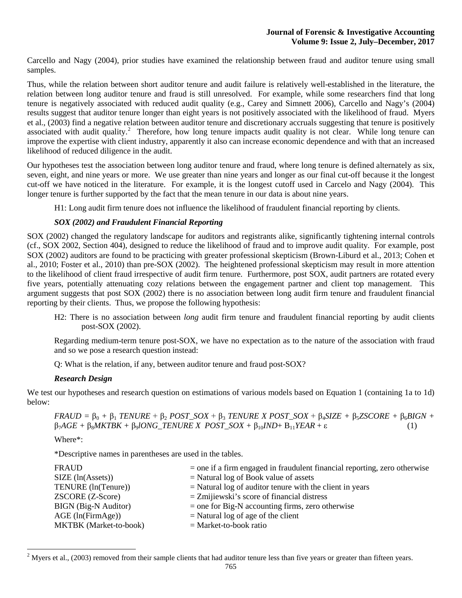Carcello and Nagy (2004), prior studies have examined the relationship between fraud and auditor tenure using small samples.

Thus, while the relation between short auditor tenure and audit failure is relatively well-established in the literature, the relation between long auditor tenure and fraud is still unresolved. For example, while some researchers find that long tenure is negatively associated with reduced audit quality (e.g., Carey and Simnett 2006), Carcello and Nagy's (2004) results suggest that auditor tenure longer than eight years is not positively associated with the likelihood of fraud. Myers et al., (2003) find a negative relation between auditor tenure and discretionary accruals suggesting that tenure is positively associated with audit quality.<sup>[2](#page-2-0)</sup> Therefore, how long tenure impacts audit quality is not clear. While long tenure can improve the expertise with client industry, apparently it also can increase economic dependence and with that an increased likelihood of reduced diligence in the audit.

Our hypotheses test the association between long auditor tenure and fraud, where long tenure is defined alternately as six, seven, eight, and nine years or more. We use greater than nine years and longer as our final cut-off because it the longest cut-off we have noticed in the literature. For example, it is the longest cutoff used in Carcelo and Nagy (2004). This longer tenure is further supported by the fact that the mean tenure in our data is about nine years.

H1: Long audit firm tenure does not influence the likelihood of fraudulent financial reporting by clients.

### *SOX (2002) and Fraudulent Financial Reporting*

SOX (2002) changed the regulatory landscape for auditors and registrants alike, significantly tightening internal controls (cf., SOX 2002, Section 404), designed to reduce the likelihood of fraud and to improve audit quality. For example, post SOX (2002) auditors are found to be practicing with greater professional skepticism (Brown-Liburd et al., 2013; Cohen et al., 2010; Foster et al., 2010) than pre-SOX (2002). The heightened professional skepticism may result in more attention to the likelihood of client fraud irrespective of audit firm tenure. Furthermore, post SOX, audit partners are rotated every five years, potentially attenuating cozy relations between the engagement partner and client top management. This argument suggests that post SOX (2002) there is no association between long audit firm tenure and fraudulent financial reporting by their clients. Thus, we propose the following hypothesis:

H2: There is no association between *long* audit firm tenure and fraudulent financial reporting by audit clients post-SOX (2002).

Regarding medium-term tenure post-SOX, we have no expectation as to the nature of the association with fraud and so we pose a research question instead:

Q: What is the relation, if any, between auditor tenure and fraud post-SOX?

#### *Research Design*

We test our hypotheses and research question on estimations of various models based on Equation 1 (containing 1a to 1d) below:

```
FRAUD = \beta_0 + \beta_1 TENURE + \beta_2 POST\_SOX + \beta_3 TENURE X POST\_SOX + \beta_4 SIZE + \beta_5 ZSCORE + \beta_6 BIGN +\beta_7AGE + \beta_8 MKTBK + \beta_9 IONG_TENURE X POST_SOX + \beta_{10} IND + B_{11} YEAR + \varepsilon (1)
```
Where\*:

\*Descriptive names in parentheses are used in the tables.

| <b>FRAUD</b>                     | $=$ one if a firm engaged in fraudulent financial reporting, zero otherwise |
|----------------------------------|-----------------------------------------------------------------------------|
| SIZE (ln(Asets))                 | $=$ Natural log of Book value of assets                                     |
| TENURE (ln(Tenure))              | $=$ Natural log of auditor tenure with the client in years                  |
| <b>ZSCORE</b> ( <b>Z-Score</b> ) | $=$ Zmijiewski's score of financial distress                                |
| BIGN (Big-N Auditor)             | $=$ one for Big-N accounting firms, zero otherwise                          |
| $AGE$ (ln(FirmAge))              | $=$ Natural log of age of the client                                        |
| <b>MKTBK</b> (Market-to-book)    | $=$ Market-to-book ratio                                                    |

<span id="page-2-0"></span> $2$  Myers et al., (2003) removed from their sample clients that had auditor tenure less than five years or greater than fifteen years.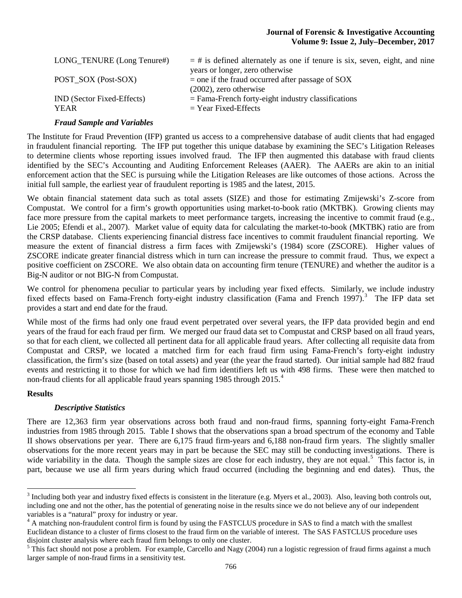| LONG_TENURE (Long Tenure#)                       | $=$ # is defined alternately as one if tenure is six, seven, eight, and nine<br>years or longer, zero otherwise |
|--------------------------------------------------|-----------------------------------------------------------------------------------------------------------------|
| POST SOX (Post-SOX)                              | $=$ one if the fraud occurred after passage of SOX<br>$(2002)$ , zero otherwise                                 |
| <b>IND</b> (Sector Fixed-Effects)<br><b>YEAR</b> | $=$ Fama-French forty-eight industry classifications<br>$=$ Year Fixed-Effects                                  |

#### *Fraud Sample and Variables*

The Institute for Fraud Prevention (IFP) granted us access to a comprehensive database of audit clients that had engaged in fraudulent financial reporting. The IFP put together this unique database by examining the SEC's Litigation Releases to determine clients whose reporting issues involved fraud. The IFP then augmented this database with fraud clients identified by the SEC's Accounting and Auditing Enforcement Releases (AAER). The AAERs are akin to an initial enforcement action that the SEC is pursuing while the Litigation Releases are like outcomes of those actions. Across the initial full sample, the earliest year of fraudulent reporting is 1985 and the latest, 2015.

We obtain financial statement data such as total assets (SIZE) and those for estimating Zmijewski's Z-score from Compustat. We control for a firm's growth opportunities using market-to-book ratio (MKTBK). Growing clients may face more pressure from the capital markets to meet performance targets, increasing the incentive to commit fraud (e.g., Lie 2005; Efendi et al., 2007). Market value of equity data for calculating the market-to-book (MKTBK) ratio are from the CRSP database. Clients experiencing financial distress face incentives to commit fraudulent financial reporting. We measure the extent of financial distress a firm faces with Zmijewski's (1984) score (ZSCORE). Higher values of ZSCORE indicate greater financial distress which in turn can increase the pressure to commit fraud. Thus, we expect a positive coefficient on ZSCORE. We also obtain data on accounting firm tenure (TENURE) and whether the auditor is a Big-N auditor or not BIG-N from Compustat.

We control for phenomena peculiar to particular years by including year fixed effects. Similarly, we include industry fixed effects based on Fama-French forty-eight industry classification (Fama and French 1997).<sup>[3](#page-3-0)</sup> The IFP data set provides a start and end date for the fraud.

While most of the firms had only one fraud event perpetrated over several years, the IFP data provided begin and end years of the fraud for each fraud per firm. We merged our fraud data set to Compustat and CRSP based on all fraud years, so that for each client, we collected all pertinent data for all applicable fraud years. After collecting all requisite data from Compustat and CRSP, we located a matched firm for each fraud firm using Fama-French's forty-eight industry classification, the firm's size (based on total assets) and year (the year the fraud started). Our initial sample had 882 fraud events and restricting it to those for which we had firm identifiers left us with 498 firms. These were then matched to non-fraud clients for all applicable fraud years spanning 1985 through 2015. [4](#page-3-1)

#### **Results**

#### *Descriptive Statistics*

There are 12,363 firm year observations across both fraud and non-fraud firms, spanning forty-eight Fama-French industries from 1985 through 2015. Table I shows that the observations span a broad spectrum of the economy and Table II shows observations per year. There are 6,175 fraud firm-years and 6,188 non-fraud firm years. The slightly smaller observations for the more recent years may in part be because the SEC may still be conducting investigations. There is wide variability in the data. Though the sample sizes are close for each industry, they are not equal.<sup>[5](#page-3-2)</sup> This factor is, in part, because we use all firm years during which fraud occurred (including the beginning and end dates). Thus, the

<span id="page-3-0"></span><sup>&</sup>lt;sup>3</sup> Including both year and industry fixed effects is consistent in the literature (e.g. Myers et al., 2003). Also, leaving both controls out, including one and not the other, has the potential of generating noise in the results since we do not believe any of our independent variables is a "natural" proxy for industry or year.

<span id="page-3-1"></span><sup>&</sup>lt;sup>4</sup> A matching non-fraudulent control firm is found by using the FASTCLUS procedure in SAS to find a match with the smallest Euclidean distance to a cluster of firms closest to the fraud firm on the variable of interest. The SAS FASTCLUS procedure uses disjoint cluster analysis where each fraud firm belongs to only one cluster.<br><sup>5</sup> This fact should not pose a problem. For example, Carcello and Nagy (2004) run a logistic regression of fraud firms against a much

<span id="page-3-2"></span>larger sample of non-fraud firms in a sensitivity test.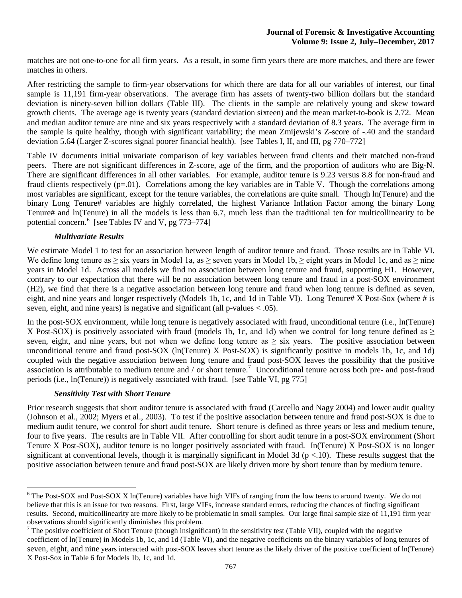matches are not one-to-one for all firm years. As a result, in some firm years there are more matches, and there are fewer matches in others.

After restricting the sample to firm-year observations for which there are data for all our variables of interest, our final sample is 11,191 firm-year observations. The average firm has assets of twenty-two billion dollars but the standard deviation is ninety-seven billion dollars (Table III). The clients in the sample are relatively young and skew toward growth clients. The average age is twenty years (standard deviation sixteen) and the mean market-to-book is 2.72. Mean and median auditor tenure are nine and six years respectively with a standard deviation of 8.3 years. The average firm in the sample is quite healthy, though with significant variability; the mean Zmijewski's Z-score of -.40 and the standard deviation 5.64 (Larger Z-scores signal poorer financial health). [see Tables I, II, and III, pg 770–772]

Table IV documents initial univariate comparison of key variables between fraud clients and their matched non-fraud peers. There are not significant differences in Z-score, age of the firm, and the proportion of auditors who are Big-N. There are significant differences in all other variables. For example, auditor tenure is 9.23 versus 8.8 for non-fraud and fraud clients respectively  $(p=0.01)$ . Correlations among the key variables are in Table V. Though the correlations among most variables are significant, except for the tenure variables, the correlations are quite small. Though ln(Tenure) and the binary Long Tenure# variables are highly correlated, the highest Variance Inflation Factor among the binary Long Tenure# and ln(Tenure) in all the models is less than 6.7, much less than the traditional ten for multicollinearity to be potential concern.<sup>[6](#page-4-0)</sup> [see Tables IV and V, pg 773–774]

### *Multivariate Results*

We estimate Model 1 to test for an association between length of auditor tenure and fraud. Those results are in Table VI. We define long tenure as  $\geq$  six years in Model 1a, as  $\geq$  seven years in Model 1b,  $\geq$  eight years in Model 1c, and as  $\geq$  nine years in Model 1d. Across all models we find no association between long tenure and fraud, supporting H1. However, contrary to our expectation that there will be no association between long tenure and fraud in a post-SOX environment (H2), we find that there is a negative association between long tenure and fraud when long tenure is defined as seven, eight, and nine years and longer respectively (Models 1b, 1c, and 1d in Table VI). Long Tenure# X Post-Sox (where # is seven, eight, and nine years) is negative and significant (all p-values < .05).

In the post-SOX environment, while long tenure is negatively associated with fraud, unconditional tenure (i.e., ln(Tenure) X Post-SOX) is positively associated with fraud (models 1b, 1c, and 1d) when we control for long tenure defined as  $\geq$ seven, eight, and nine years, but not when we define long tenure as  $\geq$  six years. The positive association between unconditional tenure and fraud post-SOX (ln(Tenure) X Post-SOX) is significantly positive in models 1b, 1c, and 1d) coupled with the negative association between long tenure and fraud post-SOX leaves the possibility that the positive association is attributable to medium tenure and / or short tenure.<sup>[7](#page-4-1)</sup> Unconditional tenure across both pre- and post-fraud periods (i.e., ln(Tenure)) is negatively associated with fraud. [see Table VI, pg 775]

#### *Sensitivity Test with Short Tenure*

Prior research suggests that short auditor tenure is associated with fraud (Carcello and Nagy 2004) and lower audit quality (Johnson et al., 2002; Myers et al., 2003). To test if the positive association between tenure and fraud post-SOX is due to medium audit tenure, we control for short audit tenure. Short tenure is defined as three years or less and medium tenure, four to five years. The results are in Table VII. After controlling for short audit tenure in a post-SOX environment (Short Tenure X Post-SOX), auditor tenure is no longer positively associated with fraud. In(Tenure) X Post-SOX is no longer significant at conventional levels, though it is marginally significant in Model 3d ( $p < 10$ ). These results suggest that the positive association between tenure and fraud post-SOX are likely driven more by short tenure than by medium tenure.

<span id="page-4-0"></span><sup>&</sup>lt;sup>6</sup> The Post-SOX and Post-SOX X ln(Tenure) variables have high VIFs of ranging from the low teens to around twenty. We do not believe that this is an issue for two reasons. First, large VIFs, increase standard errors, reducing the chances of finding significant results. Second, multicollinearity are more likely to be problematic in small samples. Our large final sample size of 11,191 firm year observations should significantly diminishes this problem.

<span id="page-4-1"></span> $<sup>7</sup>$  The positive coefficient of Short Tenure (though insignificant) in the sensitivity test (Table VII), coupled with the negative</sup> coefficient of ln(Tenure) in Models 1b, 1c, and 1d (Table VI), and the negative coefficients on the binary variables of long tenures of seven, eight, and nine years interacted with post-SOX leaves short tenure as the likely driver of the positive coefficient of ln(Tenure) X Post-Sox in Table 6 for Models 1b, 1c, and 1d.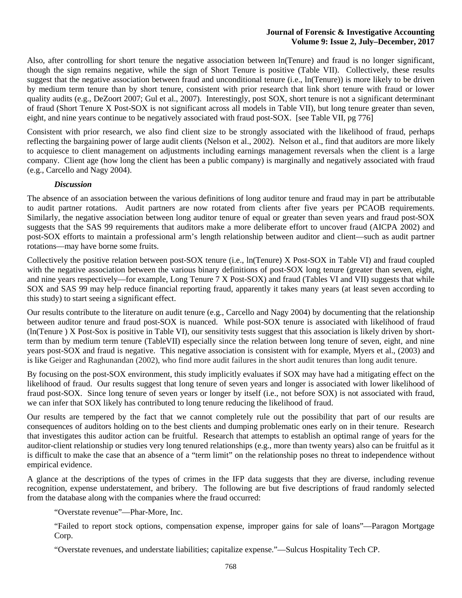Also, after controlling for short tenure the negative association between ln(Tenure) and fraud is no longer significant, though the sign remains negative, while the sign of Short Tenure is positive (Table VII). Collectively, these results suggest that the negative association between fraud and unconditional tenure (i.e., ln(Tenure)) is more likely to be driven by medium term tenure than by short tenure, consistent with prior research that link short tenure with fraud or lower quality audits (e.g., DeZoort 2007; Gul et al., 2007). Interestingly, post SOX, short tenure is not a significant determinant of fraud (Short Tenure X Post-SOX is not significant across all models in Table VII), but long tenure greater than seven, eight, and nine years continue to be negatively associated with fraud post-SOX. [see Table VII, pg 776]

Consistent with prior research, we also find client size to be strongly associated with the likelihood of fraud, perhaps reflecting the bargaining power of large audit clients (Nelson et al., 2002). Nelson et al., find that auditors are more likely to acquiesce to client management on adjustments including earnings management reversals when the client is a large company. Client age (how long the client has been a public company) is marginally and negatively associated with fraud (e.g., Carcello and Nagy 2004).

#### *Discussion*

The absence of an association between the various definitions of long auditor tenure and fraud may in part be attributable to audit partner rotations. Audit partners are now rotated from clients after five years per PCAOB requirements. Similarly, the negative association between long auditor tenure of equal or greater than seven years and fraud post-SOX suggests that the SAS 99 requirements that auditors make a more deliberate effort to uncover fraud (AICPA 2002) and post-SOX efforts to maintain a professional arm's length relationship between auditor and client—such as audit partner rotations—may have borne some fruits.

Collectively the positive relation between post-SOX tenure (i.e., ln(Tenure) X Post-SOX in Table VI) and fraud coupled with the negative association between the various binary definitions of post-SOX long tenure (greater than seven, eight, and nine years respectively—for example, Long Tenure 7 X Post-SOX) and fraud (Tables VI and VII) suggests that while SOX and SAS 99 may help reduce financial reporting fraud, apparently it takes many years (at least seven according to this study) to start seeing a significant effect.

Our results contribute to the literature on audit tenure (e.g., Carcello and Nagy 2004) by documenting that the relationship between auditor tenure and fraud post-SOX is nuanced. While post-SOX tenure is associated with likelihood of fraud (ln(Tenure ) X Post-Sox is positive in Table VI), our sensitivity tests suggest that this association is likely driven by shortterm than by medium term tenure (TableVII) especially since the relation between long tenure of seven, eight, and nine years post-SOX and fraud is negative. This negative association is consistent with for example, Myers et al., (2003) and is like Geiger and Raghunandan (2002), who find more audit failures in the short audit tenures than long audit tenure.

By focusing on the post-SOX environment, this study implicitly evaluates if SOX may have had a mitigating effect on the likelihood of fraud. Our results suggest that long tenure of seven years and longer is associated with lower likelihood of fraud post-SOX. Since long tenure of seven years or longer by itself (i.e., not before SOX) is not associated with fraud, we can infer that SOX likely has contributed to long tenure reducing the likelihood of fraud.

Our results are tempered by the fact that we cannot completely rule out the possibility that part of our results are consequences of auditors holding on to the best clients and dumping problematic ones early on in their tenure. Research that investigates this auditor action can be fruitful. Research that attempts to establish an optimal range of years for the auditor-client relationship or studies very long tenured relationships (e.g., more than twenty years) also can be fruitful as it is difficult to make the case that an absence of a "term limit" on the relationship poses no threat to independence without empirical evidence.

A glance at the descriptions of the types of crimes in the IFP data suggests that they are diverse, including revenue recognition, expense understatement, and bribery. The following are but five descriptions of fraud randomly selected from the database along with the companies where the fraud occurred:

"Overstate revenue"—Phar-More, Inc.

"Failed to report stock options, compensation expense, improper gains for sale of loans"—Paragon Mortgage Corp.

"Overstate revenues, and understate liabilities; capitalize expense."—Sulcus Hospitality Tech CP.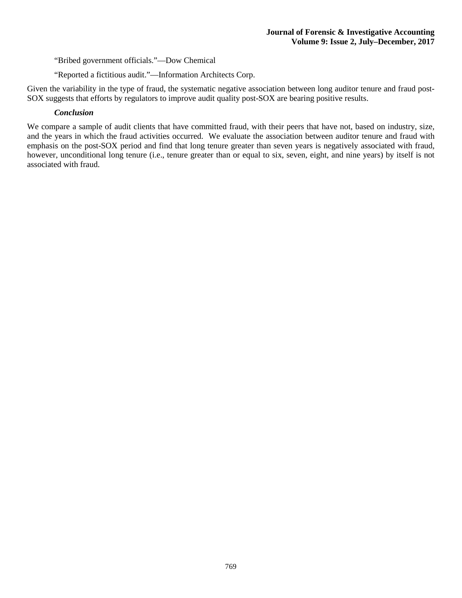"Bribed government officials."—Dow Chemical

"Reported a fictitious audit."—Information Architects Corp.

Given the variability in the type of fraud, the systematic negative association between long auditor tenure and fraud post-SOX suggests that efforts by regulators to improve audit quality post-SOX are bearing positive results.

#### *Conclusion*

We compare a sample of audit clients that have committed fraud, with their peers that have not, based on industry, size, and the years in which the fraud activities occurred. We evaluate the association between auditor tenure and fraud with emphasis on the post-SOX period and find that long tenure greater than seven years is negatively associated with fraud, however, unconditional long tenure (i.e., tenure greater than or equal to six, seven, eight, and nine years) by itself is not associated with fraud.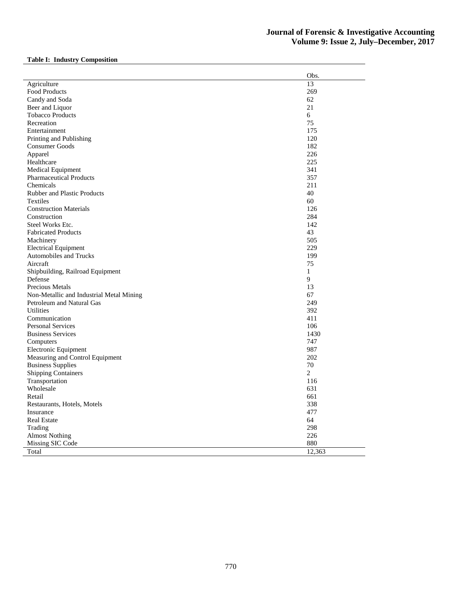# **Table I: Industry Composition**

|                                          | Obs.           |
|------------------------------------------|----------------|
| Agriculture                              | 13             |
| Food Products                            | 269            |
| Candy and Soda                           | 62             |
| Beer and Liquor                          | 21             |
| <b>Tobacco Products</b>                  | 6              |
| Recreation                               | 75             |
| Entertainment                            | 175            |
| Printing and Publishing                  | 120            |
| Consumer Goods                           | 182            |
| Apparel                                  | 226            |
| Healthcare                               | 225            |
| Medical Equipment                        | 341            |
| <b>Pharmaceutical Products</b>           | 357            |
| Chemicals                                | 211            |
| <b>Rubber and Plastic Products</b>       | 40             |
| <b>Textiles</b>                          | 60             |
| <b>Construction Materials</b>            | 126            |
| Construction                             | 284            |
| Steel Works Etc.                         | 142            |
| <b>Fabricated Products</b>               | 43             |
| Machinery                                | 505            |
| <b>Electrical Equipment</b>              | 229            |
| <b>Automobiles and Trucks</b>            | 199            |
| Aircraft                                 | 75             |
| Shipbuilding, Railroad Equipment         | $\mathbf{1}$   |
| Defense                                  | 9              |
| Precious Metals                          | 13             |
| Non-Metallic and Industrial Metal Mining | 67             |
| Petroleum and Natural Gas                | 249            |
| <b>Utilities</b>                         | 392            |
| Communication                            | 411            |
| <b>Personal Services</b>                 | 106            |
| <b>Business Services</b>                 | 1430           |
| Computers                                | 747            |
| Electronic Equipment                     | 987            |
| Measuring and Control Equipment          | 202            |
| <b>Business Supplies</b>                 | 70             |
| <b>Shipping Containers</b>               | $\overline{2}$ |
| Transportation                           | 116            |
| Wholesale                                | 631            |
| Retail                                   | 661            |
| Restaurants, Hotels, Motels              | 338            |
| Insurance                                | 477            |
| <b>Real Estate</b>                       | 64             |
| Trading                                  | 298            |
| <b>Almost Nothing</b>                    | 226            |
| Missing SIC Code                         | 880            |
|                                          |                |
| Total                                    | 12,363         |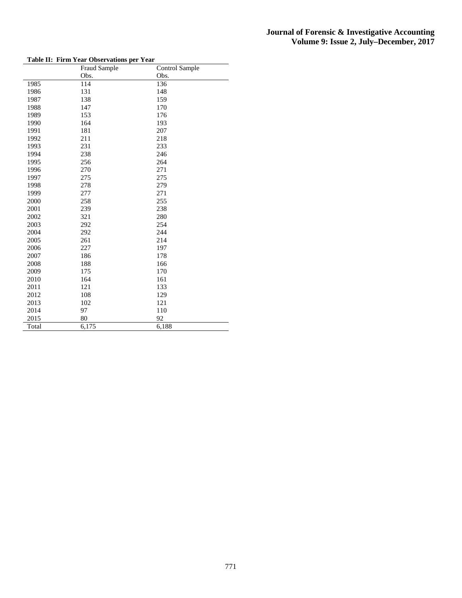| гашс 11. | FILM Teat Observations per Teat<br>Fraud Sample | Control Sample |
|----------|-------------------------------------------------|----------------|
|          | Obs.                                            | Obs.           |
| 1985     | 114                                             | 136            |
| 1986     | 131                                             | 148            |
| 1987     | 138                                             | 159            |
| 1988     | 147                                             | 170            |
| 1989     | 153                                             | 176            |
| 1990     | 164                                             | 193            |
| 1991     | 181                                             | 207            |
| 1992     | 211                                             | 218            |
| 1993     | 231                                             | 233            |
| 1994     | 238                                             | 246            |
| 1995     | 256                                             | 264            |
| 1996     | 270                                             | 271            |
| 1997     | 275                                             | 275            |
| 1998     | 278                                             | 279            |
| 1999     | 277                                             | 271            |
| 2000     | 258                                             | 255            |
| 2001     | 239                                             | 238            |
| 2002     | 321                                             | 280            |
| 2003     | 292                                             | 254            |
| 2004     | 292                                             | 244            |
| 2005     | 261                                             | 214            |
| 2006     | 227                                             | 197            |
| 2007     | 186                                             | 178            |
| 2008     | 188                                             | 166            |
| 2009     | 175                                             | 170            |
| 2010     | 164                                             | 161            |
| 2011     | 121                                             | 133            |
| 2012     | 108                                             | 129            |
| 2013     | 102                                             | 121            |
| 2014     | 97                                              | 110            |
| 2015     | 80                                              | 92             |
| Total    | 6,175                                           | 6,188          |

#### **Table II: Firm Year Observations per Year**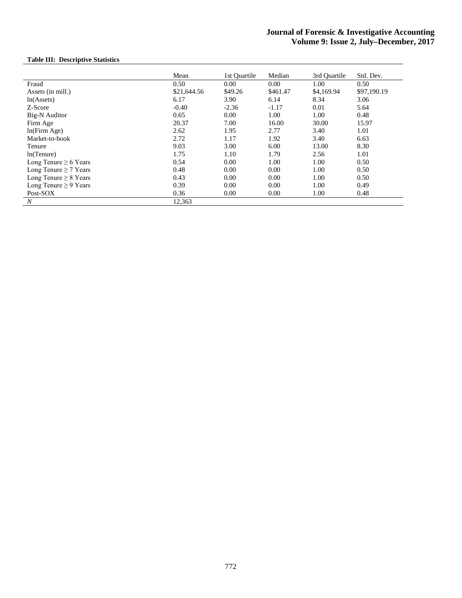## **Table III: Descriptive Statistics**

|                            | Mean        | 1st Ouartile | Median   | 3rd Ouartile | Std. Dev.   |
|----------------------------|-------------|--------------|----------|--------------|-------------|
| Fraud                      | 0.50        | 0.00         | 0.00     | 1.00         | 0.50        |
| Assets (in mill.)          | \$21,644.56 | \$49.26      | \$461.47 | \$4,169.94   | \$97,190.19 |
| ln(A <sub>s</sub> )        | 6.17        | 3.90         | 6.14     | 8.34         | 3.06        |
| Z-Score                    | $-0.40$     | $-2.36$      | $-1.17$  | 0.01         | 5.64        |
| Big-N Auditor              | 0.65        | 0.00         | 1.00     | 1.00         | 0.48        |
| Firm Age                   | 20.37       | 7.00         | 16.00    | 30.00        | 15.97       |
| ln(Firm Age)               | 2.62        | 1.95         | 2.77     | 3.40         | 1.01        |
| Market-to-book             | 2.72        | 1.17         | 1.92     | 3.40         | 6.63        |
| Tenure                     | 9.03        | 3.00         | 6.00     | 13.00        | 8.30        |
| ln(Tenure)                 | 1.75        | 1.10         | 1.79     | 2.56         | 1.01        |
| Long Tenure $\geq 6$ Years | 0.54        | 0.00         | 1.00     | 1.00         | 0.50        |
| Long Tenure $\geq$ 7 Years | 0.48        | 0.00         | 0.00     | 1.00         | 0.50        |
| Long Tenure $\geq 8$ Years | 0.43        | 0.00         | 0.00     | 1.00         | 0.50        |
| Long Tenure $\geq$ 9 Years | 0.39        | 0.00         | 0.00     | 1.00         | 0.49        |
| Post-SOX                   | 0.36        | 0.00         | 0.00     | 1.00         | 0.48        |
| $\boldsymbol{N}$           | 12,363      |              |          |              |             |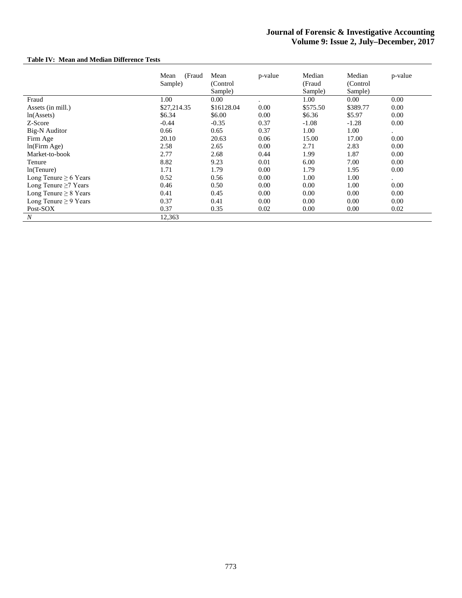## **Table IV: Mean and Median Difference Tests**

|                            | (Fraud<br>Mean<br>Sample) | Mean<br>(Control)<br>Sample) | p-value | Median<br>(Fraud<br>Sample) | Median<br>(Control)<br>Sample) | p-value   |
|----------------------------|---------------------------|------------------------------|---------|-----------------------------|--------------------------------|-----------|
| Fraud                      | 1.00                      | 0.00                         |         | 1.00                        | 0.00                           | 0.00      |
| Assets (in mill.)          | \$27,214.35               | \$16128.04                   | 0.00    | \$575.50                    | \$389.77                       | 0.00      |
| ln(A <sub>s</sub> )        | \$6.34                    | \$6.00                       | 0.00    | \$6.36                      | \$5.97                         | 0.00      |
| Z-Score                    | $-0.44$                   | $-0.35$                      | 0.37    | $-1.08$                     | $-1.28$                        | 0.00      |
| <b>Big-N</b> Auditor       | 0.66                      | 0.65                         | 0.37    | 1.00                        | 1.00                           | $\bullet$ |
| Firm Age                   | 20.10                     | 20.63                        | 0.06    | 15.00                       | 17.00                          | 0.00      |
| ln(Firm Age)               | 2.58                      | 2.65                         | 0.00    | 2.71                        | 2.83                           | 0.00      |
| Market-to-book             | 2.77                      | 2.68                         | 0.44    | 1.99                        | 1.87                           | 0.00      |
| Tenure                     | 8.82                      | 9.23                         | 0.01    | 6.00                        | 7.00                           | 0.00      |
| ln(Tenure)                 | 1.71                      | 1.79                         | 0.00    | 1.79                        | 1.95                           | 0.00      |
| Long Tenure $\geq 6$ Years | 0.52                      | 0.56                         | 0.00    | 1.00                        | 1.00                           | $\bullet$ |
| Long Tenure $\geq$ 7 Years | 0.46                      | 0.50                         | 0.00    | 0.00                        | 1.00                           | 0.00      |
| Long Tenure $\geq 8$ Years | 0.41                      | 0.45                         | 0.00    | 0.00                        | 0.00                           | 0.00      |
| Long Tenure $\geq$ 9 Years | 0.37                      | 0.41                         | 0.00    | 0.00                        | 0.00                           | 0.00      |
| Post-SOX                   | 0.37                      | 0.35                         | 0.02    | 0.00                        | 0.00                           | 0.02      |
| $\boldsymbol{N}$           | 12,363                    |                              |         |                             |                                |           |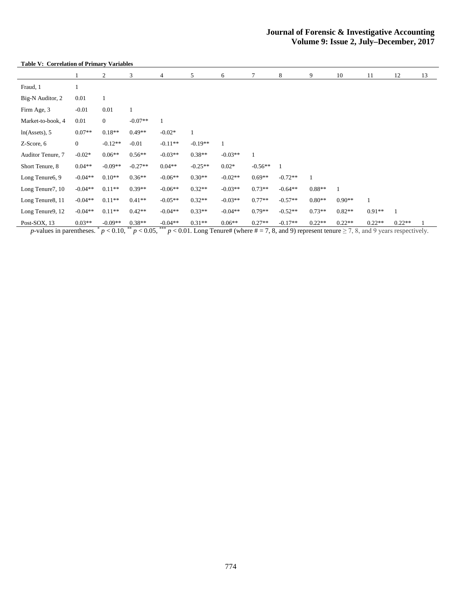#### **Table V: Correlation of Primary Variables**

|                          |                  | 2            | 3            | 4         | 5         | 6         | 7         | 8         | 9        | 10       | 11       | 12           | 13 |
|--------------------------|------------------|--------------|--------------|-----------|-----------|-----------|-----------|-----------|----------|----------|----------|--------------|----|
| Fraud, 1                 |                  |              |              |           |           |           |           |           |          |          |          |              |    |
| Big-N Auditor, 2         | 0.01             | 1            |              |           |           |           |           |           |          |          |          |              |    |
| Firm Age, 3              | $-0.01$          | 0.01         | $\mathbf{1}$ |           |           |           |           |           |          |          |          |              |    |
| Market-to-book, 4        | 0.01             | $\mathbf{0}$ | $-0.07**$    |           |           |           |           |           |          |          |          |              |    |
| $ln(A{\text{ssets}}), 5$ | $0.07**$         | $0.18**$     | $0.49**$     | $-0.02*$  |           |           |           |           |          |          |          |              |    |
| Z-Score, 6               | $\boldsymbol{0}$ | $-0.12**$    | $-0.01$      | $-0.11**$ | $-0.19**$ |           |           |           |          |          |          |              |    |
| Auditor Tenure, 7        | $-0.02*$         | $0.06**$     | $0.56**$     | $-0.03**$ | $0.38**$  | $-0.03**$ |           |           |          |          |          |              |    |
| Short Tenure, 8          | $0.04**$         | $-0.09**$    | $-0.27**$    | $0.04**$  | $-0.25**$ | $0.02*$   | $-0.56**$ | 1         |          |          |          |              |    |
| Long Tenure6, 9          | $-0.04**$        | $0.10**$     | $0.36**$     | $-0.06**$ | $0.30**$  | $-0.02**$ | $0.69**$  | $-0.72**$ | 1        |          |          |              |    |
| Long Tenure7, 10         | $-0.04**$        | $0.11**$     | $0.39**$     | $-0.06**$ | $0.32**$  | $-0.03**$ | $0.73**$  | $-0.64**$ | $0.88**$ |          |          |              |    |
| Long Tenure8, 11         | $-0.04**$        | $0.11**$     | $0.41**$     | $-0.05**$ | $0.32**$  | $-0.03**$ | $0.77**$  | $-0.57**$ | $0.80**$ | $0.90**$ |          |              |    |
| Long Tenure9, 12         | $-0.04**$        | $0.11**$     | $0.42**$     | $-0.04**$ | $0.33**$  | $-0.04**$ | $0.79**$  | $-0.52**$ | $0.73**$ | $0.82**$ | $0.91**$ | $\mathbf{1}$ |    |
| Post-SOX, 13             | $0.03**$         | $-0.09**$    | $0.38**$     | $-0.04**$ | $0.31**$  | $0.06**$  | $0.27**$  | $-0.17**$ | $0.22**$ | $0.22**$ | $0.22**$ | $0.22**$     |    |

*p*-values in parentheses.  $p < 0.10$ ,  $\binom{m}{2}$   $p < 0.05$ ,  $\binom{m}{2}$   $p < 0.01$ . Long Tenure# (where  $\neq 7, 8$ , and 9) represent tenure  $\geq 7, 8$ , and 9) years respectively.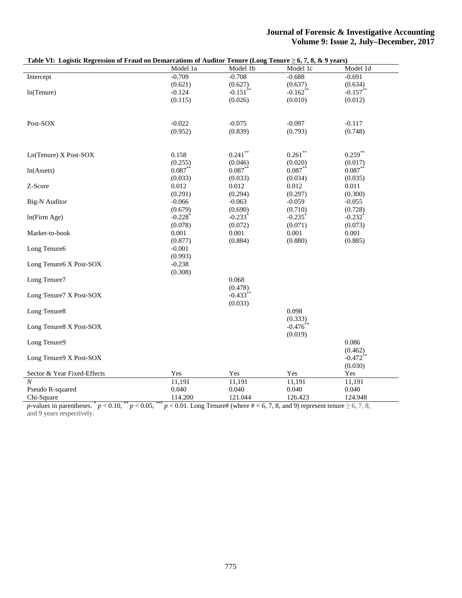|                                               | Table VI: Logistic Regression of Fraud on Demarcations of Auditor Tenure (Long Tenure $\geq 6, 7, 8, \& 9$ years) |                        |                       |                        |  |  |  |
|-----------------------------------------------|-------------------------------------------------------------------------------------------------------------------|------------------------|-----------------------|------------------------|--|--|--|
|                                               | Model 1a                                                                                                          | Model 1b               | Model 1c              | Model 1d               |  |  |  |
| Intercept                                     | $-0.709$                                                                                                          | $-0.708$               | $-0.688$              | $-0.691$               |  |  |  |
|                                               | (0.621)                                                                                                           | (0.627)                | (0.637)               | (0.634)                |  |  |  |
| ln(Tenure)                                    | $-0.124$                                                                                                          | $-0.151$ **            | $-0.162$ **           | $-0.157***$            |  |  |  |
|                                               | (0.115)                                                                                                           | (0.026)                | (0.010)               | (0.012)                |  |  |  |
|                                               |                                                                                                                   |                        |                       |                        |  |  |  |
|                                               |                                                                                                                   |                        |                       |                        |  |  |  |
| Post-SOX                                      | $-0.022$                                                                                                          | $-0.075$               | $-0.097$              | $-0.117$               |  |  |  |
|                                               | (0.952)                                                                                                           | (0.839)                | (0.793)               | (0.748)                |  |  |  |
|                                               |                                                                                                                   |                        |                       |                        |  |  |  |
|                                               |                                                                                                                   |                        |                       |                        |  |  |  |
| Ln(Tenure) X Post-SOX                         | 0.158                                                                                                             | $0.241$ **             | $0.261$ **            | $0.259***$             |  |  |  |
|                                               | (0.255)                                                                                                           | (0.046)                | (0.020)               | (0.017)                |  |  |  |
| ln(A <sub>s</sub> )                           | $0.087**$                                                                                                         | $0.087***$             | $0.087**$             | $0.087***$             |  |  |  |
|                                               | (0.033)                                                                                                           | (0.033)                | (0.034)               | (0.035)                |  |  |  |
| Z-Score                                       | 0.012                                                                                                             | 0.012                  | 0.012                 | 0.011                  |  |  |  |
|                                               | (0.291)                                                                                                           | (0.294)                | (0.297)               | (0.300)                |  |  |  |
| <b>Big-N</b> Auditor                          | $-0.066$                                                                                                          | $-0.063$               | $-0.059$              | $-0.055$               |  |  |  |
|                                               | (0.679)                                                                                                           | (0.690)                | (0.710)               | (0.728)                |  |  |  |
| ln(Firm Age)                                  | $-0.228$ <sup>*</sup>                                                                                             | $-0.233$ <sup>*</sup>  | $-0.235$ <sup>*</sup> | $-0.232$ <sup>*</sup>  |  |  |  |
|                                               | (0.078)                                                                                                           | (0.072)                | (0.071)               | (0.073)                |  |  |  |
| Market-to-book                                | 0.001                                                                                                             | 0.001                  | 0.001                 | 0.001                  |  |  |  |
|                                               | (0.877)                                                                                                           | (0.884)                | (0.880)               | (0.885)                |  |  |  |
| Long Tenure6                                  | $-0.001$                                                                                                          |                        |                       |                        |  |  |  |
|                                               | (0.993)                                                                                                           |                        |                       |                        |  |  |  |
| Long Tenure6 X Post-SOX                       | $-0.238$                                                                                                          |                        |                       |                        |  |  |  |
|                                               | (0.308)                                                                                                           |                        |                       |                        |  |  |  |
| Long Tenure7                                  |                                                                                                                   | 0.068                  |                       |                        |  |  |  |
|                                               |                                                                                                                   | (0.478)                |                       |                        |  |  |  |
| Long Tenure7 X Post-SOX                       |                                                                                                                   | $-0.433$ <sup>**</sup> |                       |                        |  |  |  |
|                                               |                                                                                                                   | (0.033)                |                       |                        |  |  |  |
| Long Tenure8                                  |                                                                                                                   |                        | 0.098                 |                        |  |  |  |
|                                               |                                                                                                                   |                        | (0.333)               |                        |  |  |  |
| Long Tenure8 X Post-SOX                       |                                                                                                                   |                        | $-0.476$ **           |                        |  |  |  |
|                                               |                                                                                                                   |                        | (0.019)               |                        |  |  |  |
| Long Tenure9                                  |                                                                                                                   |                        |                       | 0.086                  |  |  |  |
|                                               |                                                                                                                   |                        |                       |                        |  |  |  |
| Long Tenure9 X Post-SOX                       |                                                                                                                   |                        |                       | (0.462)<br>$-0.472$ ** |  |  |  |
|                                               |                                                                                                                   |                        |                       |                        |  |  |  |
|                                               |                                                                                                                   |                        |                       | (0.030)                |  |  |  |
| Sector & Year Fixed-Effects<br>$\overline{N}$ | Yes                                                                                                               | Yes                    | Yes                   | Yes                    |  |  |  |
|                                               | 11,191                                                                                                            | 11,191                 | 11,191                | 11,191                 |  |  |  |
| Pseudo R-squared                              | 0.040                                                                                                             | 0.040                  | 0.040                 | 0.040                  |  |  |  |
| Chi-Square                                    | 114.200                                                                                                           | 121.044                | 126.423               | 124.948                |  |  |  |

*p*-values in parentheses.  $p < 0.10$ ,  $p < 0.05$ ,  $p < 0.01$ . Long Tenure# (where # = 6, 7, 8, and 9) represent tenure  $\geq 6, 7, 8$ , and 9 years respectively.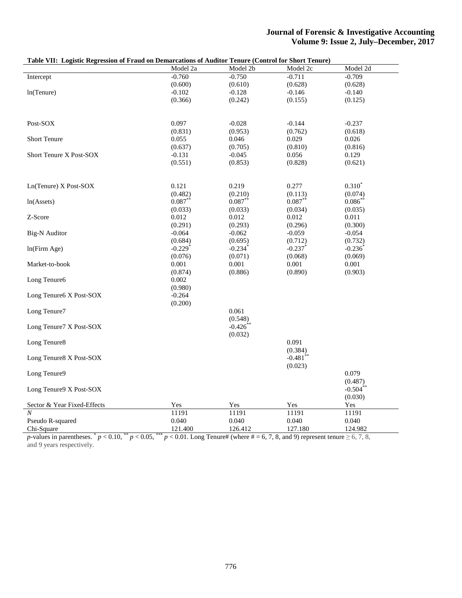|                             | Model 2a              | Model 2b              | Model 2c              | Model 2d         |
|-----------------------------|-----------------------|-----------------------|-----------------------|------------------|
| Intercept                   | $-0.760$              | $-0.750$              | $-0.711$              | $-0.709$         |
|                             | (0.600)               | (0.610)               | (0.628)               | (0.628)          |
| ln(Tenure)                  | $-0.102$              | $-0.128$              | $-0.146$              | $-0.140$         |
|                             | (0.366)               | (0.242)               | (0.155)               | (0.125)          |
|                             |                       |                       |                       |                  |
| Post-SOX                    | 0.097                 | $-0.028$              | $-0.144$              | $-0.237$         |
|                             | (0.831)               | (0.953)               | (0.762)               | (0.618)          |
| <b>Short Tenure</b>         | 0.055                 | 0.046                 | 0.029                 | 0.026            |
|                             | (0.637)               | (0.705)               | (0.810)               | (0.816)          |
| Short Tenure X Post-SOX     | $-0.131$              | $-0.045$              | 0.056                 | 0.129            |
|                             | (0.551)               | (0.853)               | (0.828)               | (0.621)          |
| Ln(Tenure) X Post-SOX       | 0.121                 | 0.219                 | 0.277                 | $0.310^{*}$      |
|                             | (0.482)               | (0.210)               | (0.113)               | (0.074)          |
| ln(A <sub>s</sub> )         | $0.087***$            | $0.087**$             | $0.087**$             | $0.086***$       |
|                             | (0.033)               | (0.033)               | (0.034)               | (0.035)          |
| Z-Score                     | 0.012                 | 0.012                 | 0.012                 | 0.011            |
|                             | (0.291)               | (0.293)               | (0.296)               | (0.300)          |
| <b>Big-N</b> Auditor        | $-0.064$              | $-0.062$              | $-0.059$              | $-0.054$         |
|                             | (0.684)               | (0.695)               | (0.712)               | (0.732)          |
| ln(Firm Age)                | $-0.229$ <sup>*</sup> | $-0.234$ <sup>*</sup> | $-0.237$ <sup>*</sup> | $-0.236^*$       |
|                             |                       | (0.071)               | (0.068)               |                  |
| Market-to-book              | (0.076)<br>0.001      | 0.001                 | 0.001                 | (0.069)<br>0.001 |
|                             |                       |                       |                       |                  |
|                             | (0.874)               | (0.886)               | (0.890)               | (0.903)          |
| Long Tenure6                | 0.002                 |                       |                       |                  |
|                             | (0.980)               |                       |                       |                  |
| Long Tenure6 X Post-SOX     | $-0.264$              |                       |                       |                  |
|                             | (0.200)               |                       |                       |                  |
| Long Tenure7                |                       | 0.061                 |                       |                  |
|                             |                       | (0.548)               |                       |                  |
| Long Tenure7 X Post-SOX     |                       | $-0.426$              |                       |                  |
|                             |                       | (0.032)               |                       |                  |
| Long Tenure8                |                       |                       | 0.091                 |                  |
|                             |                       |                       | (0.384)               |                  |
| Long Tenure8 X Post-SOX     |                       |                       | $-0.481$ <sup>*</sup> |                  |
|                             |                       |                       | (0.023)               |                  |
| Long Tenure9                |                       |                       |                       | 0.079            |
|                             |                       |                       |                       | (0.487)          |
| Long Tenure9 X Post-SOX     |                       |                       |                       | $-0.504$ **      |
|                             |                       |                       |                       | (0.030)          |
| Sector & Year Fixed-Effects | Yes                   | Yes                   | Yes                   | Yes              |
| $\overline{N}$              | 11191                 |                       |                       |                  |
|                             |                       | 11191                 | 11191                 | 11191            |
| Pseudo R-squared            | 0.040                 | 0.040                 | 0.040                 | 0.040            |
| Chi-Square                  | 121.400               | 126.412               | 127.180               | 124.982          |

*p*-values in parentheses.  $p < 0.10$ ,  $p < 0.05$ ,  $p < 0.01$ . Long Tenure# (where  $\# = 6, 7, 8$ , and 9) represent tenure  $\geq 6, 7, 8$ , and 9 years respectively.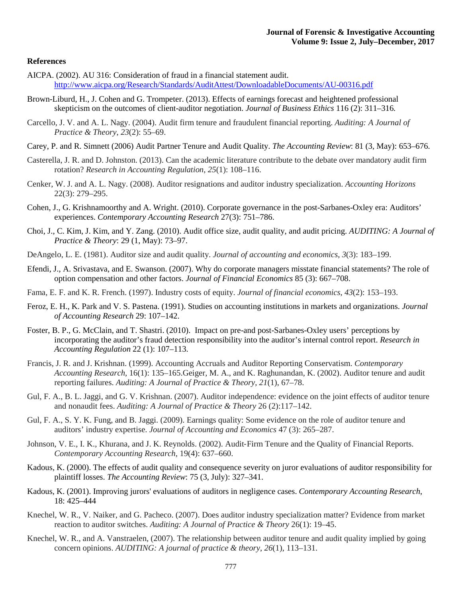#### **References**

- AICPA. (2002). AU 316: Consideration of fraud in a financial statement audit. <http://www.aicpa.org/Research/Standards/AuditAttest/DownloadableDocuments/AU-00316.pdf>
- Brown-Liburd, H., J. Cohen and G. Trompeter. (2013). Effects of earnings forecast and heightened professional skepticism on the outcomes of client-auditor negotiation. *Journal of Business Ethics* 116 (2): 311–316*.*
- Carcello, J. V. and A. L. Nagy. (2004). Audit firm tenure and fraudulent financial reporting. *Auditing: A Journal of Practice & Theory*, *23*(2): 55–69.
- Carey, P. and R. Simnett (2006) Audit Partner Tenure and Audit Quality. *The Accounting Review*: 81 (3, May): 653–676.
- Casterella, J. R. and D. Johnston. (2013). Can the academic literature contribute to the debate over mandatory audit firm rotation? *Research in Accounting Regulation*, *25*(1): 108–116.
- Cenker, W. J. and A. L. Nagy. (2008). Auditor resignations and auditor industry specialization. *Accounting Horizons* 22(3): 279–295.
- Cohen, J., G. Krishnamoorthy and A. Wright. (2010). Corporate governance in the post-Sarbanes-Oxley era: Auditors' experiences. *Contemporary Accounting Research* 27(3): 751–786.
- Choi, J., C. Kim, J. Kim, and Y. Zang. (2010). Audit office size, audit quality, and audit pricing. *AUDITING: A Journal of Practice & Theory*: 29 (1, May): 73–97.
- DeAngelo, L. E. (1981). Auditor size and audit quality. *Journal of accounting and economics*, *3*(3): 183–199.
- Efendi, J., A. Srivastava, and E. Swanson. (2007). Why do corporate managers misstate financial statements? The role of option compensation and other factors. *Journal of Financial Economics* 85 (3): 667–708.
- Fama, E. F. and K. R. French. (1997). Industry costs of equity. *Journal of financial economics*, *43*(2): 153–193.
- Feroz, E. H., K. Park and V. S. Pastena. (1991). Studies on accounting institutions in markets and organizations. *Journal of Accounting Research* 29: 107–142.
- Foster, B. P., G. McClain, and T. Shastri. (2010). Impact on pre-and post-Sarbanes-Oxley users' perceptions by incorporating the auditor's fraud detection responsibility into the auditor's internal control report. *Research in Accounting Regulation* 22 (1): 107–113.
- Francis, J. R. and J. Krishnan. (1999). Accounting Accruals and Auditor Reporting Conservatism. *Contemporary Accounting Research*, 16(1): 135–165.Geiger, M. A., and K. Raghunandan, K. (2002). Auditor tenure and audit reporting failures. *Auditing: A Journal of Practice & Theory*, *21*(1), 67–78.
- Gul, F. A., B. L. Jaggi, and G. V. Krishnan. (2007). Auditor independence: evidence on the joint effects of auditor tenure and nonaudit fees. *Auditing: A Journal of Practice & Theory* 26 (2):117–142.
- Gul, F. A., S. Y. K. Fung, and B. Jaggi. (2009). Earnings quality: Some evidence on the role of auditor tenure and auditors' industry expertise. *Journal of Accounting and Economics* 47 (3): 265–287.
- Johnson, V. E., I. K., Khurana, and J. K. Reynolds. (2002). Audit‐Firm Tenure and the Quality of Financial Reports. *Contemporary Accounting Research*, 19(4): 637–660.
- Kadous, K. (2000). The effects of audit quality and consequence severity on juror evaluations of auditor responsibility for plaintiff losses. *The Accounting Review*: 75 (3, July): 327–341.
- Kadous, K. (2001). Improving jurors' evaluations of auditors in negligence cases. *Contemporary Accounting Research*, 18: 425–444
- Knechel, W. R., V. Naiker, and G. Pacheco. (2007). Does auditor industry specialization matter? Evidence from market reaction to auditor switches. *Auditing: A Journal of Practice & Theory* 26(1): 19–45.
- Knechel, W. R., and A. Vanstraelen, (2007). The relationship between auditor tenure and audit quality implied by going concern opinions. *AUDITING: A journal of practice & theory*, *26*(1), 113–131.